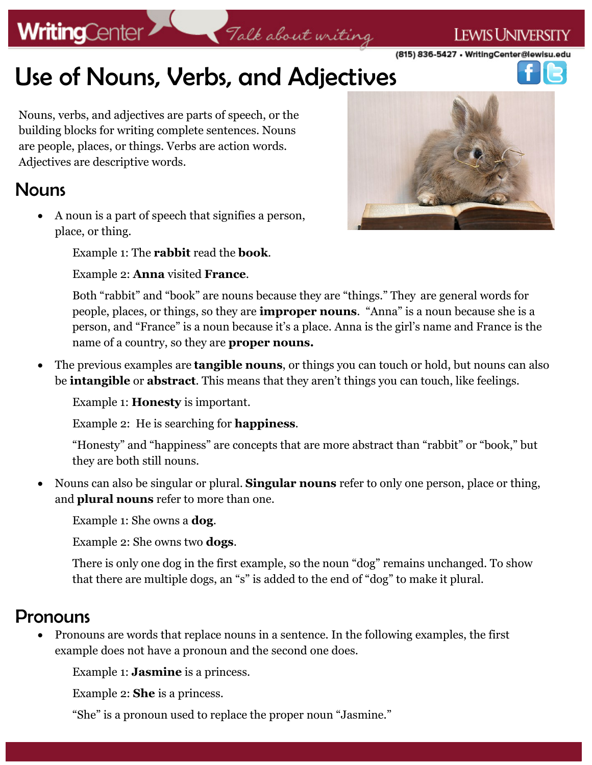# **WritingCenter**

#### (815) 836-5427 • WritingCenter@lewisu.edu

**LEWIS UNIVERSITY** 

# Use of Nouns, Verbs, and Adjectives

Nouns, verbs, and adjectives are parts of speech, or the building blocks for writing complete sentences. Nouns are people, places, or things. Verbs are action words. Adjectives are descriptive words.

#### **Nouns**

 A noun is a part of speech that signifies a person, place, or thing.

Example 1: The **rabbit** read the **book**.

Example 2: **Anna** visited **France**.



Both "rabbit" and "book" are nouns because they are "things." They are general words for people, places, or things, so they are **improper nouns**. "Anna" is a noun because she is a person, and "France" is a noun because it's a place. Anna is the girl's name and France is the name of a country, so they are **proper nouns.**

Talk about writing

 The previous examples are **tangible nouns**, or things you can touch or hold, but nouns can also be **intangible** or **abstract**. This means that they aren't things you can touch, like feelings.

Example 1: **Honesty** is important.

Example 2: He is searching for **happiness**.

"Honesty" and "happiness" are concepts that are more abstract than "rabbit" or "book," but they are both still nouns.

 Nouns can also be singular or plural. **Singular nouns** refer to only one person, place or thing, and **plural nouns** refer to more than one.

Example 1: She owns a **dog**.

Example 2: She owns two **dogs**.

There is only one dog in the first example, so the noun "dog" remains unchanged. To show that there are multiple dogs, an "s" is added to the end of "dog" to make it plural.

#### Pronouns

 Pronouns are words that replace nouns in a sentence. In the following examples, the first example does not have a pronoun and the second one does.

Example 1: **Jasmine** is a princess.

Example 2: **She** is a princess.

"She" is a pronoun used to replace the proper noun "Jasmine."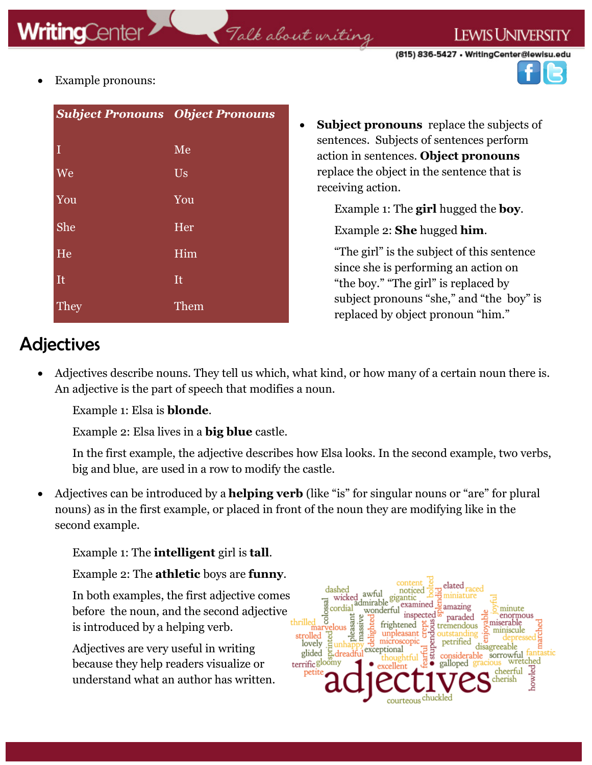### Talk about writing



Example pronouns:

| <b>Subject Pronouns Object Pronouns</b> |      |
|-----------------------------------------|------|
| I                                       | Me   |
| We                                      | Us   |
| You                                     | You  |
| She                                     | Her  |
| He                                      | Him  |
| It                                      | It   |
| <b>They</b>                             | Them |

 **Subject pronouns** replace the subjects of sentences. Subjects of sentences perform action in sentences. **Object pronouns**  replace the object in the sentence that is receiving action.

Example 1: The **girl** hugged the **boy**.

Example 2: **She** hugged **him**.

"The girl" is the subject of this sentence since she is performing an action on "the boy." "The girl" is replaced by subject pronouns "she," and "the boy" is replaced by object pronoun "him."

### Adjectives

 Adjectives describe nouns. They tell us which, what kind, or how many of a certain noun there is. An adjective is the part of speech that modifies a noun.

Example 1: Elsa is **blonde**.

Example 2: Elsa lives in a **big blue** castle.

In the first example, the adjective describes how Elsa looks. In the second example, two verbs, big and blue, are used in a row to modify the castle.

 Adjectives can be introduced by a **helping verb** (like "is" for singular nouns or "are" for plural nouns) as in the first example, or placed in front of the noun they are modifying like in the second example.

Example 1: The **intelligent** girl is **tall**.

Example 2: The **athletic** boys are **funny**.

In both examples, the first adjective comes before the noun, and the second adjective is introduced by a helping verb.

Adjectives are very useful in writing because they help readers visualize or understand what an author has written.

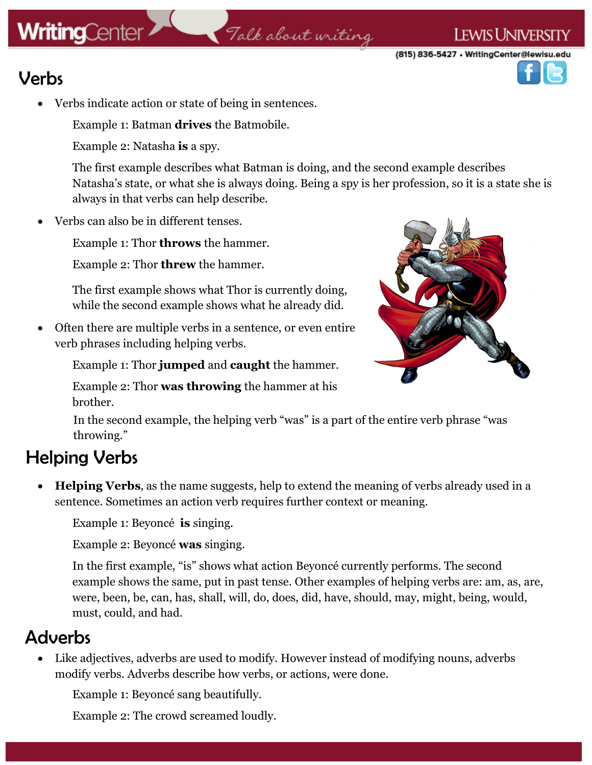# **WritingCenter**

### Talk about writing

(815) 836-5427 • WritingCenter@lewisu.edu

**LEWIS UNIVERSITY** 



- Verbs
	- Verbs indicate action or state of being in sentences.

Example 1: Batman **drives** the Batmobile.

Example 2: Natasha **is** a spy.

The first example describes what Batman is doing, and the second example describes Natasha's state, or what she is always doing. Being a spy is her profession, so it is a state she is always in that verbs can help describe.

Verbs can also be in different tenses.

Example 1: Thor **throws** the hammer.

Example 2: Thor **threw** the hammer.

The first example shows what Thor is currently doing, while the second example shows what he already did.

 Often there are multiple verbs in a sentence, or even entire verb phrases including helping verbs.

Example 1: Thor **jumped** and **caught** the hammer.



Example 2: Thor **was throwing** the hammer at his brother.

In the second example, the helping verb "was" is a part of the entire verb phrase "was throwing."

### Helping Verbs

 **Helping Verbs**, as the name suggests, help to extend the meaning of verbs already used in a sentence. Sometimes an action verb requires further context or meaning.

Example 1: Beyoncé **is** singing.

Example 2: Beyoncé **was** singing.

In the first example, "is" shows what action Beyoncé currently performs. The second example shows the same, put in past tense. Other examples of helping verbs are: am, as, are, were, been, be, can, has, shall, will, do, does, did, have, should, may, might, being, would, must, could, and had.

### **Adverbs**

 Like adjectives, adverbs are used to modify. However instead of modifying nouns, adverbs modify verbs. Adverbs describe how verbs, or actions, were done.

Example 1: Beyoncé sang beautifully.

Example 2: The crowd screamed loudly.